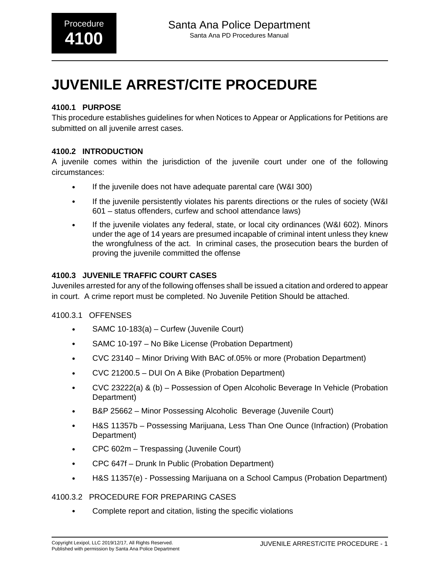# **JUVENILE ARREST/CITE PROCEDURE**

## **4100.1 PURPOSE**

This procedure establishes guidelines for when Notices to Appear or Applications for Petitions are submitted on all juvenile arrest cases.

### **4100.2 INTRODUCTION**

A juvenile comes within the jurisdiction of the juvenile court under one of the following circumstances:

- If the juvenile does not have adequate parental care (W&I 300)
- If the juvenile persistently violates his parents directions or the rules of society (W&I 601 – status offenders, curfew and school attendance laws)
- If the juvenile violates any federal, state, or local city ordinances (W&I 602). Minors under the age of 14 years are presumed incapable of criminal intent unless they knew the wrongfulness of the act. In criminal cases, the prosecution bears the burden of proving the juvenile committed the offense

#### **4100.3 JUVENILE TRAFFIC COURT CASES**

Juveniles arrested for any of the following offenses shall be issued a citation and ordered to appear in court. A crime report must be completed. No Juvenile Petition Should be attached.

#### 4100.3.1 OFFENSES

- SAMC 10-183(a) Curfew (Juvenile Court)
- SAMC 10-197 No Bike License (Probation Department)
- CVC 23140 Minor Driving With BAC of.05% or more (Probation Department)
- CVC 21200.5 DUI On A Bike (Probation Department)
- CVC 23222(a) & (b) Possession of Open Alcoholic Beverage In Vehicle (Probation Department)
- B&P 25662 Minor Possessing Alcoholic Beverage (Juvenile Court)
- H&S 11357b Possessing Marijuana, Less Than One Ounce (Infraction) (Probation Department)
- CPC 602m Trespassing (Juvenile Court)
- CPC 647f Drunk In Public (Probation Department)
- H&S 11357(e) Possessing Marijuana on a School Campus (Probation Department)

#### 4100.3.2 PROCEDURE FOR PREPARING CASES

• Complete report and citation, listing the specific violations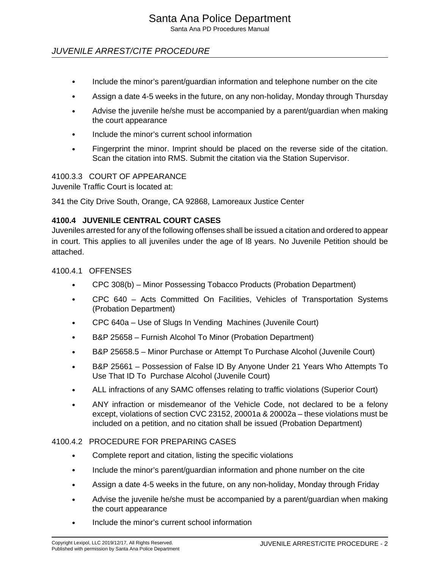Santa Ana PD Procedures Manual

## JUVENILE ARREST/CITE PROCEDURE

- Include the minor's parent/guardian information and telephone number on the cite
- Assign a date 4-5 weeks in the future, on any non-holiday, Monday through Thursday
- Advise the juvenile he/she must be accompanied by a parent/guardian when making the court appearance
- Include the minor's current school information
- Fingerprint the minor. Imprint should be placed on the reverse side of the citation. Scan the citation into RMS. Submit the citation via the Station Supervisor.

#### 4100.3.3 COURT OF APPEARANCE

Juvenile Traffic Court is located at:

341 the City Drive South, Orange, CA 92868, Lamoreaux Justice Center

#### **4100.4 JUVENILE CENTRAL COURT CASES**

Juveniles arrested for any of the following offenses shall be issued a citation and ordered to appear in court. This applies to all juveniles under the age of l8 years. No Juvenile Petition should be attached.

4100.4.1 OFFENSES

- CPC 308(b) Minor Possessing Tobacco Products (Probation Department)
- CPC 640 Acts Committed On Facilities, Vehicles of Transportation Systems (Probation Department)
- CPC 640a Use of Slugs In Vending Machines (Juvenile Court)
- B&P 25658 Furnish Alcohol To Minor (Probation Department)
- B&P 25658.5 Minor Purchase or Attempt To Purchase Alcohol (Juvenile Court)
- B&P 25661 Possession of False ID By Anyone Under 21 Years Who Attempts To Use That ID To Purchase Alcohol (Juvenile Court)
- ALL infractions of any SAMC offenses relating to traffic violations (Superior Court)
- ANY infraction or misdemeanor of the Vehicle Code, not declared to be a felony except, violations of section CVC 23152, 20001a & 20002a – these violations must be included on a petition, and no citation shall be issued (Probation Department)

#### 4100.4.2 PROCEDURE FOR PREPARING CASES

- Complete report and citation, listing the specific violations
- Include the minor's parent/guardian information and phone number on the cite
- Assign a date 4-5 weeks in the future, on any non-holiday, Monday through Friday
- Advise the juvenile he/she must be accompanied by a parent/guardian when making the court appearance
- Include the minor's current school information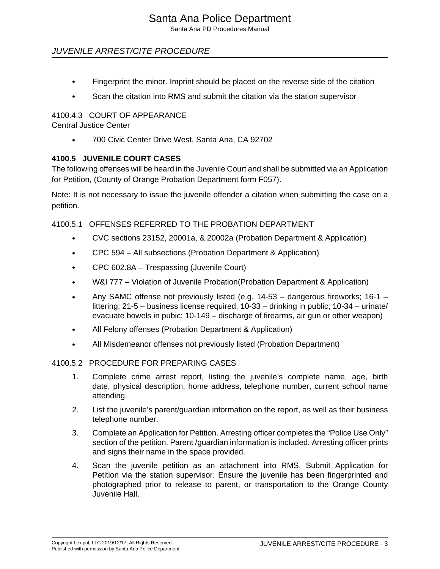Santa Ana PD Procedures Manual

## JUVENILE ARREST/CITE PROCEDURE

- Fingerprint the minor. Imprint should be placed on the reverse side of the citation
- Scan the citation into RMS and submit the citation via the station supervisor

### 4100.4.3 COURT OF APPEARANCE

Central Justice Center

• 700 Civic Center Drive West, Santa Ana, CA 92702

### **4100.5 JUVENILE COURT CASES**

The following offenses will be heard in the Juvenile Court and shall be submitted via an Application for Petition, (County of Orange Probation Department form F057).

Note: It is not necessary to issue the juvenile offender a citation when submitting the case on a petition.

4100.5.1 OFFENSES REFERRED TO THE PROBATION DEPARTMENT

- CVC sections 23152, 20001a, & 20002a (Probation Department & Application)
- CPC 594 All subsections (Probation Department & Application)
- CPC 602.8A Trespassing (Juvenile Court)
- W&I 777 Violation of Juvenile Probation(Probation Department & Application)
- Any SAMC offense not previously listed (e.g. 14-53 dangerous fireworks; 16-1 littering; 21-5 – business license required; 10-33 – drinking in public; 10-34 – urinate/ evacuate bowels in pubic; 10-149 – discharge of firearms, air gun or other weapon)
- All Felony offenses (Probation Department & Application)
- All Misdemeanor offenses not previously listed (Probation Department)

#### 4100.5.2 PROCEDURE FOR PREPARING CASES

- 1. Complete crime arrest report, listing the juvenile's complete name, age, birth date, physical description, home address, telephone number, current school name attending.
- 2. List the juvenile's parent/guardian information on the report, as well as their business telephone number.
- 3. Complete an Application for Petition. Arresting officer completes the "Police Use Only" section of the petition. Parent /guardian information is included. Arresting officer prints and signs their name in the space provided.
- 4. Scan the juvenile petition as an attachment into RMS. Submit Application for Petition via the station supervisor. Ensure the juvenile has been fingerprinted and photographed prior to release to parent, or transportation to the Orange County Juvenile Hall.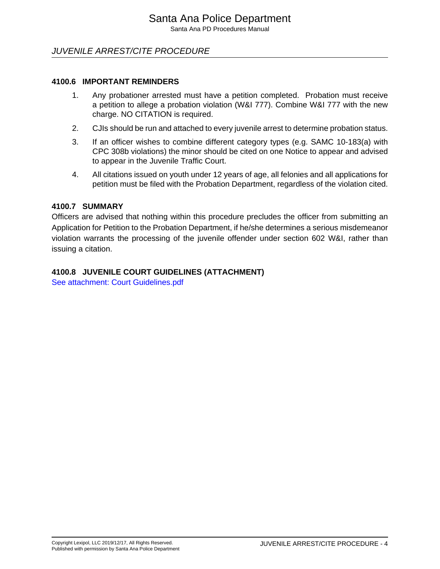Santa Ana PD Procedures Manual

## JUVENILE ARREST/CITE PROCEDURE

#### **4100.6 IMPORTANT REMINDERS**

- 1. Any probationer arrested must have a petition completed. Probation must receive a petition to allege a probation violation (W&I 777). Combine W&I 777 with the new charge. NO CITATION is required.
- 2. CJIs should be run and attached to every juvenile arrest to determine probation status.
- 3. If an officer wishes to combine different category types (e.g. SAMC 10-183(a) with CPC 308b violations) the minor should be cited on one Notice to appear and advised to appear in the Juvenile Traffic Court.
- 4. All citations issued on youth under 12 years of age, all felonies and all applications for petition must be filed with the Probation Department, regardless of the violation cited.

#### **4100.7 SUMMARY**

Officers are advised that nothing within this procedure precludes the officer from submitting an Application for Petition to the Probation Department, if he/she determines a serious misdemeanor violation warrants the processing of the juvenile offender under section 602 W&I, rather than issuing a citation.

#### **4100.8 JUVENILE COURT GUIDELINES (ATTACHMENT)**

[See attachment: Court Guidelines.pdf](#page-5-0)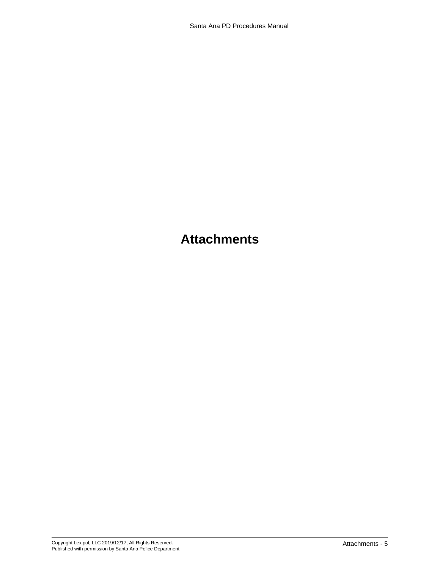## **Attachments**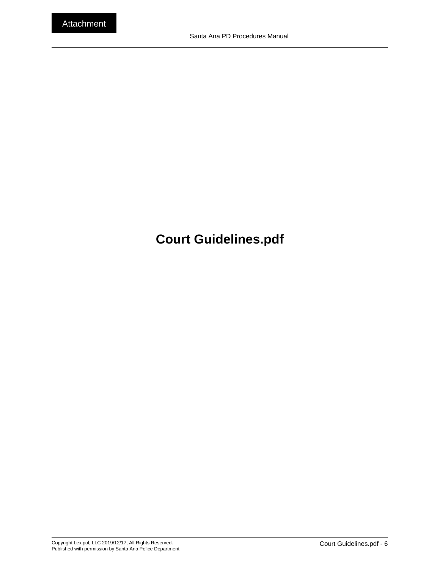# <span id="page-5-0"></span>**Court Guidelines.pdf**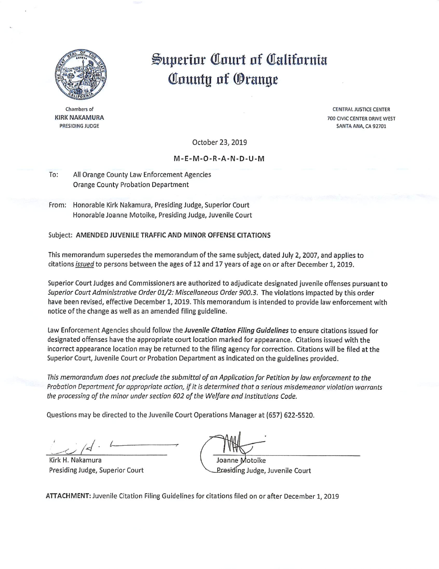

Chambers of **KIRK NAKAMURA** PRESIDING JUDGE

# Superior Court of California County of Orange

**CENTRAL JUSTICE CENTER** 700 CIVIC CENTER DRIVE WEST SANTA ANA, CA 92701

October 23, 2019

#### M-E-M-O-R-A-N-D-U-M

- To: All Orange County Law Enforcement Agencies **Orange County Probation Department**
- From: Honorable Kirk Nakamura, Presiding Judge, Superior Court Honorable Joanne Motoike, Presiding Judge, Juvenile Court

#### Subject: AMENDED JUVENILE TRAFFIC AND MINOR OFFENSE CITATIONS

This memorandum supersedes the memorandum of the same subject, dated July 2, 2007, and applies to citations issued to persons between the ages of 12 and 17 years of age on or after December 1, 2019.

Superior Court Judges and Commissioners are authorized to adjudicate designated juvenile offenses pursuant to Superior Court Administrative Order 01/2: Miscellaneous Order 900.3. The violations impacted by this order have been revised, effective December 1, 2019. This memorandum is intended to provide law enforcement with notice of the change as well as an amended filing guideline.

Law Enforcement Agencies should follow the Juvenile Citation Filing Guidelines to ensure citations issued for designated offenses have the appropriate court location marked for appearance. Citations issued with the incorrect appearance location may be returned to the filing agency for correction. Citations will be filed at the Superior Court, Juvenile Court or Probation Department as indicated on the guidelines provided.

This memorandum does not preclude the submittal of an Application for Petition by law enforcement to the Probation Department for appropriate action, if it is determined that a serious misdemeanor violation warrants the processing of the minor under section 602 of the Welfare and Institutions Code.

Questions may be directed to the Juvenile Court Operations Manager at (657) 622-5520.

Kirk H. Nakamura Presiding Judge, Superior Court

Joanne Motoike Presiding Judge, Juvenile Court

ATTACHMENT: Juvenile Citation Filing Guidelines for citations filed on or after December 1, 2019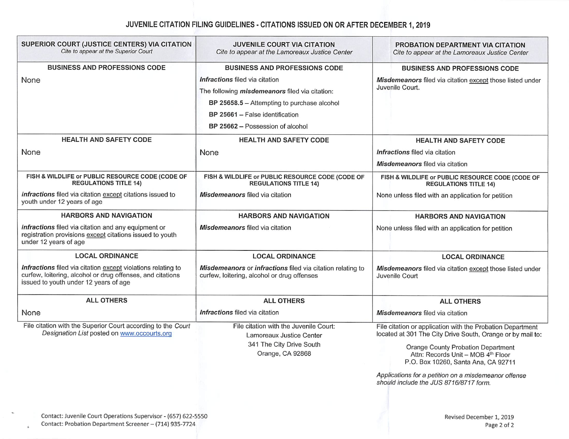### JUVENILE CITATION FILING GUIDELINES - CITATIONS ISSUED ON OR AFTER DECEMBER 1, 2019

| SUPERIOR COURT (JUSTICE CENTERS) VIA CITATION<br>Cite to appear at the Superior Court                                                                               | <b>JUVENILE COURT VIA CITATION</b><br>Cite to appear at the Lamoreaux Justice Center                      | PROBATION DEPARTMENT VIA CITATION<br>Cite to appear at the Lamoreaux Justice Center                                      |
|---------------------------------------------------------------------------------------------------------------------------------------------------------------------|-----------------------------------------------------------------------------------------------------------|--------------------------------------------------------------------------------------------------------------------------|
| <b>BUSINESS AND PROFESSIONS CODE</b>                                                                                                                                | <b>BUSINESS AND PROFESSIONS CODE</b>                                                                      | <b>BUSINESS AND PROFESSIONS CODE</b>                                                                                     |
| None                                                                                                                                                                | Infractions filed via citation                                                                            | Misdemeanors filed via citation except those listed under<br>Juvenile Court.                                             |
|                                                                                                                                                                     | The following misdemeanors filed via citation:                                                            |                                                                                                                          |
|                                                                                                                                                                     | BP 25658.5 - Attempting to purchase alcohol                                                               |                                                                                                                          |
|                                                                                                                                                                     | BP 25661 - False identification                                                                           |                                                                                                                          |
|                                                                                                                                                                     | BP 25662 - Possession of alcohol                                                                          |                                                                                                                          |
| <b>HEALTH AND SAFETY CODE</b>                                                                                                                                       | <b>HEALTH AND SAFETY CODE</b>                                                                             | <b>HEALTH AND SAFETY CODE</b>                                                                                            |
| None                                                                                                                                                                | None                                                                                                      | Infractions filed via citation                                                                                           |
|                                                                                                                                                                     |                                                                                                           | Misdemeanors filed via citation                                                                                          |
| FISH & WILDLIFE or PUBLIC RESOURCE CODE (CODE OF<br><b>REGULATIONS TITLE 14)</b>                                                                                    | FISH & WILDLIFE or PUBLIC RESOURCE CODE (CODE OF<br><b>REGULATIONS TITLE 14)</b>                          | FISH & WILDLIFE or PUBLIC RESOURCE CODE (CODE OF<br><b>REGULATIONS TITLE 14)</b>                                         |
| Infractions filed via citation except citations issued to<br>youth under 12 years of age                                                                            | Misdemeanors filed via citation                                                                           | None unless filed with an application for petition                                                                       |
| <b>HARBORS AND NAVIGATION</b>                                                                                                                                       | <b>HARBORS AND NAVIGATION</b>                                                                             | <b>HARBORS AND NAVIGATION</b>                                                                                            |
| Infractions filed via citation and any equipment or<br>registration provisions except citations issued to youth<br>under 12 years of age                            | Misdemeanors filed via citation                                                                           | None unless filed with an application for petition                                                                       |
| <b>LOCAL ORDINANCE</b>                                                                                                                                              | <b>LOCAL ORDINANCE</b>                                                                                    | <b>LOCAL ORDINANCE</b>                                                                                                   |
| Infractions filed via citation except violations relating to<br>curfew, loitering, alcohol or drug offenses, and citations<br>issued to youth under 12 years of age | Misdemeanors or infractions filed via citation relating to<br>curfew, loitering, alcohol or drug offenses | Misdemeanors filed via citation except those listed under<br>Juvenile Court                                              |
| <b>ALL OTHERS</b>                                                                                                                                                   | <b>ALL OTHERS</b>                                                                                         | <b>ALL OTHERS</b>                                                                                                        |
| None                                                                                                                                                                | Infractions filed via citation                                                                            | Misdemeanors filed via citation                                                                                          |
| File citation with the Superior Court according to the Court<br>Designation List posted on www.occourts.org                                                         | File citation with the Juvenile Court:<br>Lamoreaux Justice Center                                        | File citation or application with the Probation Department<br>located at 301 The City Drive South, Orange or by mail to: |
|                                                                                                                                                                     | 341 The City Drive South<br>Orange, CA 92868                                                              | <b>Orange County Probation Department</b><br>Attn: Records Unit - MOB 4th Floor<br>P.O. Box 10260, Santa Ana, CA 92711   |
|                                                                                                                                                                     |                                                                                                           | Applications for a petition on a misdemeanor offense<br>should include the JUS 8716/8717 form.                           |
|                                                                                                                                                                     |                                                                                                           |                                                                                                                          |
| Contact: Invenile Court Operations Supervisor - (657) 622-5550                                                                                                      |                                                                                                           |                                                                                                                          |

 $\Lambda$